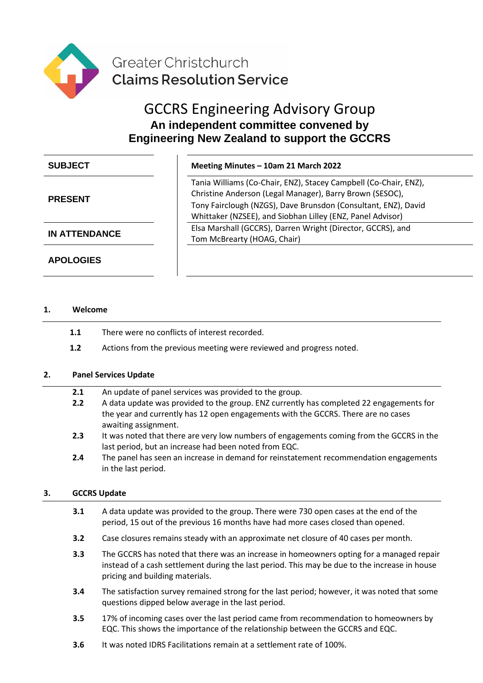

# GCCRS Engineering Advisory Group **An independent committee convened by Engineering New Zealand to support the GCCRS**

| <b>SUBJECT</b> |  |
|----------------|--|
|                |  |

# **PRESENT**

**APOLOGIES**

# **SUBJECT Meeting Minutes – 10am 21 March 2022**

Tania Williams (Co-Chair, ENZ), Stacey Campbell (Co-Chair, ENZ), Christine Anderson (Legal Manager), Barry Brown (SESOC), Tony Fairclough (NZGS), Dave Brunsdon (Consultant, ENZ), David Whittaker (NZSEE), and Siobhan Lilley (ENZ, Panel Advisor) **IN ATTENDANCE** Elsa Marshall (GCCRS), Darren Wright (Director, GCCRS), and Tom McBrearty (HOAG, Chair)

## **1. Welcome**

- **1.1** There were no conflicts of interest recorded.
- **1.2** Actions from the previous meeting were reviewed and progress noted.

## **2. Panel Services Update**

- **2.1** An update of panel services was provided to the group.
- **2.2** A data update was provided to the group. ENZ currently has completed 22 engagements for the year and currently has 12 open engagements with the GCCRS. There are no cases awaiting assignment.
- **2.3** It was noted that there are very low numbers of engagements coming from the GCCRS in the last period, but an increase had been noted from EQC.
- **2.4** The panel has seen an increase in demand for reinstatement recommendation engagements in the last period.

## **3. GCCRS Update**

- **3.1** A data update was provided to the group. There were 730 open cases at the end of the period, 15 out of the previous 16 months have had more cases closed than opened.
- **3.2** Case closures remains steady with an approximate net closure of 40 cases per month.
- **3.3** The GCCRS has noted that there was an increase in homeowners opting for a managed repair instead of a cash settlement during the last period. This may be due to the increase in house pricing and building materials.
- **3.4** The satisfaction survey remained strong for the last period; however, it was noted that some questions dipped below average in the last period.
- **3.5** 17% of incoming cases over the last period came from recommendation to homeowners by EQC. This shows the importance of the relationship between the GCCRS and EQC.
- **3.6** It was noted IDRS Facilitations remain at a settlement rate of 100%.